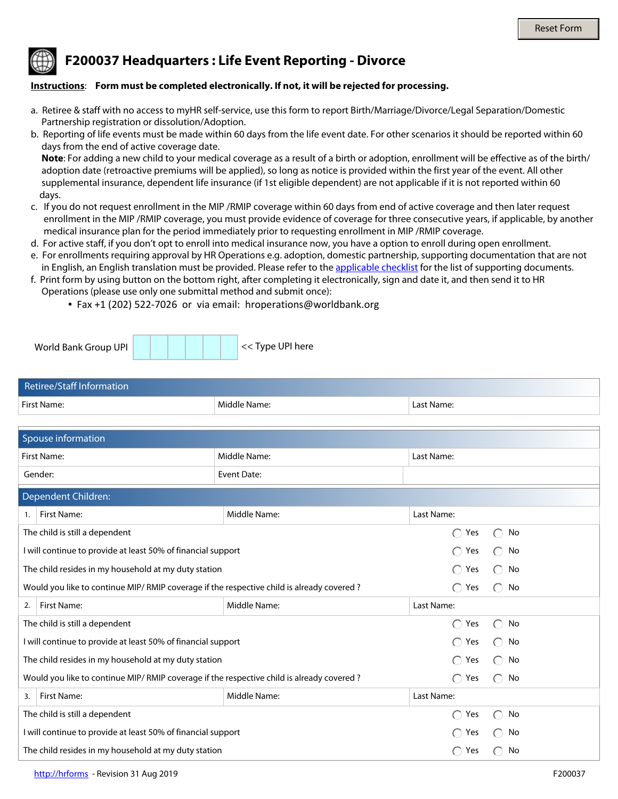## **F200037 Headquarters : Life Event Reporting - Divorce**

## **Instructions**: **Form must be completed electronically. If not, it will be rejected for processing.**

- a. Retiree & staff with no access to myHR self-service, use this form to report Birth/Marriage/Divorce/Legal Separation/Domestic Partnership registration or dissolution/Adoption.
- b. Reporting of life events must be made within 60 days from the life event date. For other scenarios it should be reported within 60 days from the end of active coverage date.

 **Note**: For adding a new child to your medical coverage as a result of a birth or adoption, enrollment will be effective as of the birth/ adoption date (retroactive premiums will be applied), so long as notice is provided within the first year of the event. All other supplemental insurance, dependent life insurance (if 1st eligible dependent) are not applicable if it is not reported within 60 days.

- c. If you do not request enrollment in the MIP /RMIP coverage within 60 days from end of active coverage and then later request enrollment in the MIP /RMIP coverage, you must provide evidence of coverage for three consecutive years, if applicable, by another medical insurance plan for the period immediately prior to requesting enrollment in MIP /RMIP coverage.
- d. For active staff, if you don't opt to enroll into medical insurance now, you have a option to enroll during open enrollment.
- e. For enrollments requiring approval by HR Operations e.g. adoption, domestic partnership, supporting documentation that are not in English, an English translation must be provided. Please refer to the [applicable checklist](http://www.worldbank.org/en/about/unit/human-resources/household-changes-and-life-events-reporting) for the list of supporting documents.
- f. Print form by using button on the bottom right, after completing it electronically, sign and date it, and then send it to HR Operations (please use only one submittal method and submit once):
	- Fax +1 (202) 522-7026 or via email: hroperations@worldbank.org

| World Bank Group UPI |  | << Type UPI here |
|----------------------|--|------------------|
|                      |  |                  |

| Retiree/Staff Information |              |            |
|---------------------------|--------------|------------|
| First Name:               | Middle Name: | Last Name: |

| Spouse information                                                                        |              |                                                                |                                                     |  |  |
|-------------------------------------------------------------------------------------------|--------------|----------------------------------------------------------------|-----------------------------------------------------|--|--|
| <b>First Name:</b>                                                                        | Middle Name: | Last Name:                                                     |                                                     |  |  |
| Gender:<br>$\overline{\phantom{a}}$                                                       | Event Date:  |                                                                |                                                     |  |  |
| Dependent Children:                                                                       |              |                                                                |                                                     |  |  |
| First Name:<br>1.                                                                         | Middle Name: | Last Name:                                                     |                                                     |  |  |
| The child is still a dependent                                                            |              | $\bigcap$<br>Yes                                               | No<br>$\left(\begin{array}{c} \end{array}\right)$   |  |  |
| I will continue to provide at least 50% of financial support                              |              | ∩<br>Yes                                                       | No<br>$\bigcirc$                                    |  |  |
| The child resides in my household at my duty station                                      |              | $\bigcirc$<br>Yes                                              | $\bigcap$<br>No                                     |  |  |
| Would you like to continue MIP/ RMIP coverage if the respective child is already covered? |              | $\bigcap$<br>Yes                                               | $\bigcap$<br>No                                     |  |  |
| <b>First Name:</b><br>2.                                                                  | Middle Name: | Last Name:                                                     |                                                     |  |  |
| The child is still a dependent                                                            |              | ∩<br>Yes                                                       | ∩<br>No                                             |  |  |
| I will continue to provide at least 50% of financial support                              |              | ∩<br>Yes                                                       | No<br>$\left( \begin{array}{c} \end{array} \right)$ |  |  |
| The child resides in my household at my duty station                                      |              | ∩<br>Yes                                                       | No<br>$\left( \begin{array}{c} \end{array} \right)$ |  |  |
| Would you like to continue MIP/RMIP coverage if the respective child is already covered?  |              | $\bigcap$<br>Yes                                               | No<br>$\bigcirc$                                    |  |  |
| <b>First Name:</b><br>3.                                                                  | Middle Name: | Last Name:                                                     |                                                     |  |  |
| The child is still a dependent                                                            |              | Yes<br>◯                                                       | No<br>$\bigcirc$                                    |  |  |
| I will continue to provide at least 50% of financial support                              |              | Yes<br>$\left(\begin{smallmatrix}1\\1\end{smallmatrix}\right)$ | No                                                  |  |  |
| The child resides in my household at my duty station                                      |              | Yes<br>$\bigcap$                                               | No<br>∩                                             |  |  |